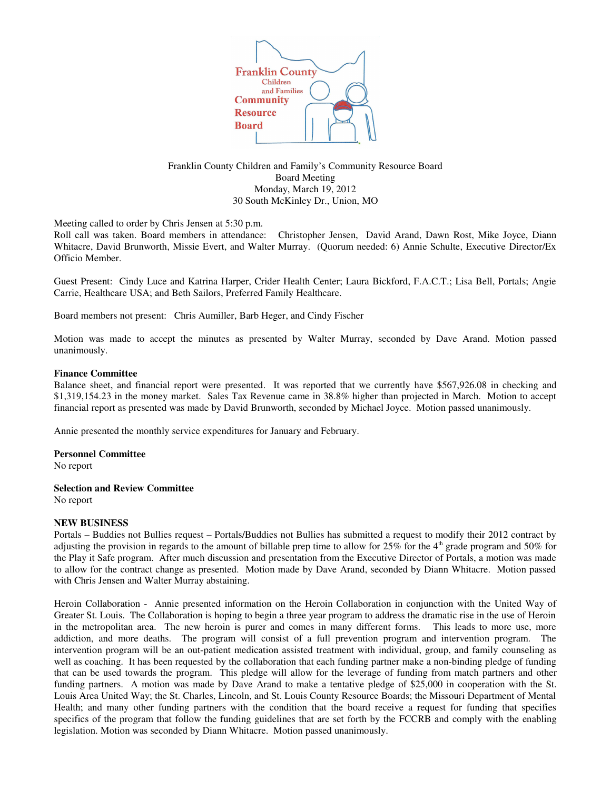

Franklin County Children and Family's Community Resource Board Board Meeting Monday, March 19, 2012 30 South McKinley Dr., Union, MO

Meeting called to order by Chris Jensen at 5:30 p.m.

Roll call was taken. Board members in attendance: Christopher Jensen, David Arand, Dawn Rost, Mike Joyce, Diann Whitacre, David Brunworth, Missie Evert, and Walter Murray. (Quorum needed: 6) Annie Schulte, Executive Director/Ex Officio Member.

Guest Present: Cindy Luce and Katrina Harper, Crider Health Center; Laura Bickford, F.A.C.T.; Lisa Bell, Portals; Angie Carrie, Healthcare USA; and Beth Sailors, Preferred Family Healthcare.

Board members not present: Chris Aumiller, Barb Heger, and Cindy Fischer

Motion was made to accept the minutes as presented by Walter Murray, seconded by Dave Arand. Motion passed unanimously.

## **Finance Committee**

Balance sheet, and financial report were presented. It was reported that we currently have \$567,926.08 in checking and \$1,319,154.23 in the money market. Sales Tax Revenue came in 38.8% higher than projected in March. Motion to accept financial report as presented was made by David Brunworth, seconded by Michael Joyce. Motion passed unanimously.

Annie presented the monthly service expenditures for January and February.

## **Personnel Committee**

No report

# **Selection and Review Committee**

No report

# **NEW BUSINESS**

Portals – Buddies not Bullies request – Portals/Buddies not Bullies has submitted a request to modify their 2012 contract by adjusting the provision in regards to the amount of billable prep time to allow for  $25\%$  for the  $4<sup>th</sup>$  grade program and  $50\%$  for the Play it Safe program. After much discussion and presentation from the Executive Director of Portals, a motion was made to allow for the contract change as presented. Motion made by Dave Arand, seconded by Diann Whitacre. Motion passed with Chris Jensen and Walter Murray abstaining.

Heroin Collaboration - Annie presented information on the Heroin Collaboration in conjunction with the United Way of Greater St. Louis. The Collaboration is hoping to begin a three year program to address the dramatic rise in the use of Heroin in the metropolitan area. The new heroin is purer and comes in many different forms. This leads to more use, more addiction, and more deaths. The program will consist of a full prevention program and intervention program. The intervention program will be an out-patient medication assisted treatment with individual, group, and family counseling as well as coaching. It has been requested by the collaboration that each funding partner make a non-binding pledge of funding that can be used towards the program. This pledge will allow for the leverage of funding from match partners and other funding partners. A motion was made by Dave Arand to make a tentative pledge of \$25,000 in cooperation with the St. Louis Area United Way; the St. Charles, Lincoln, and St. Louis County Resource Boards; the Missouri Department of Mental Health; and many other funding partners with the condition that the board receive a request for funding that specifies specifics of the program that follow the funding guidelines that are set forth by the FCCRB and comply with the enabling legislation. Motion was seconded by Diann Whitacre. Motion passed unanimously.